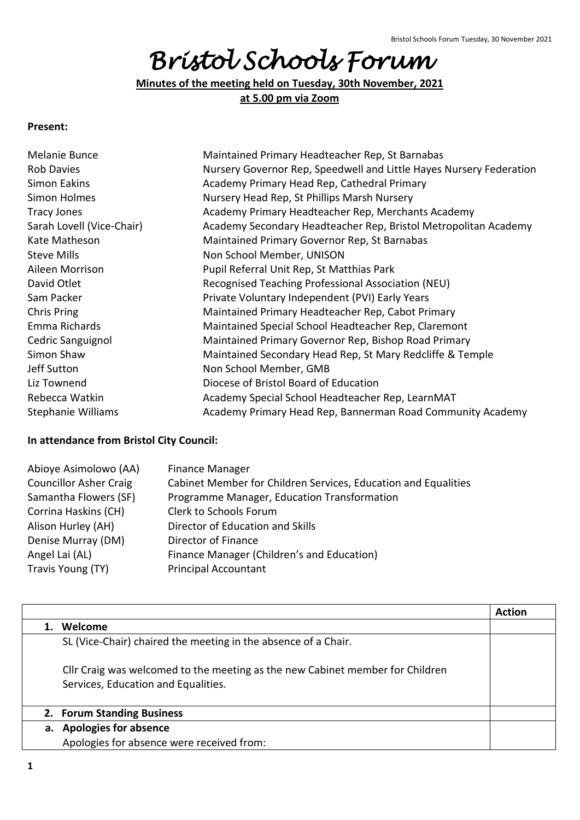# *Bristol Schools Forum*

**Minutes of the meeting held on Tuesday, 30th November, 2021 at 5.00 pm via Zoom**

### **Present:**

| Melanie Bunce             | Maintained Primary Headteacher Rep, St Barnabas                     |
|---------------------------|---------------------------------------------------------------------|
| <b>Rob Davies</b>         | Nursery Governor Rep, Speedwell and Little Hayes Nursery Federation |
| Simon Eakins              | Academy Primary Head Rep, Cathedral Primary                         |
| Simon Holmes              | Nursery Head Rep, St Phillips Marsh Nursery                         |
| <b>Tracy Jones</b>        | Academy Primary Headteacher Rep, Merchants Academy                  |
| Sarah Lovell (Vice-Chair) | Academy Secondary Headteacher Rep, Bristol Metropolitan Academy     |
| Kate Matheson             | Maintained Primary Governor Rep, St Barnabas                        |
| <b>Steve Mills</b>        | Non School Member, UNISON                                           |
| Aileen Morrison           | Pupil Referral Unit Rep, St Matthias Park                           |
| David Otlet               | Recognised Teaching Professional Association (NEU)                  |
| Sam Packer                | Private Voluntary Independent (PVI) Early Years                     |
| Chris Pring               | Maintained Primary Headteacher Rep, Cabot Primary                   |
| Emma Richards             | Maintained Special School Headteacher Rep, Claremont                |
| Cedric Sanguignol         | Maintained Primary Governor Rep, Bishop Road Primary                |
| Simon Shaw                | Maintained Secondary Head Rep, St Mary Redcliffe & Temple           |
| Jeff Sutton               | Non School Member, GMB                                              |
| Liz Townend               | Diocese of Bristol Board of Education                               |
| Rebecca Watkin            | Academy Special School Headteacher Rep, LearnMAT                    |
| <b>Stephanie Williams</b> | Academy Primary Head Rep, Bannerman Road Community Academy          |
|                           |                                                                     |

#### **In attendance from Bristol City Council:**

| Abioye Asimolowo (AA)         | <b>Finance Manager</b>                                         |
|-------------------------------|----------------------------------------------------------------|
| <b>Councillor Asher Craig</b> | Cabinet Member for Children Services, Education and Equalities |
| Samantha Flowers (SF)         | Programme Manager, Education Transformation                    |
| Corrina Haskins (CH)          | Clerk to Schools Forum                                         |
| Alison Hurley (AH)            | Director of Education and Skills                               |
| Denise Murray (DM)            | Director of Finance                                            |
| Angel Lai (AL)                | Finance Manager (Children's and Education)                     |
| Travis Young (TY)             | <b>Principal Accountant</b>                                    |

|                                                                               | <b>Action</b> |
|-------------------------------------------------------------------------------|---------------|
| Welcome                                                                       |               |
| SL (Vice-Chair) chaired the meeting in the absence of a Chair.                |               |
| Cllr Craig was welcomed to the meeting as the new Cabinet member for Children |               |
| Services, Education and Equalities.                                           |               |
| 2. Forum Standing Business                                                    |               |
| a. Apologies for absence                                                      |               |
| Apologies for absence were received from:                                     |               |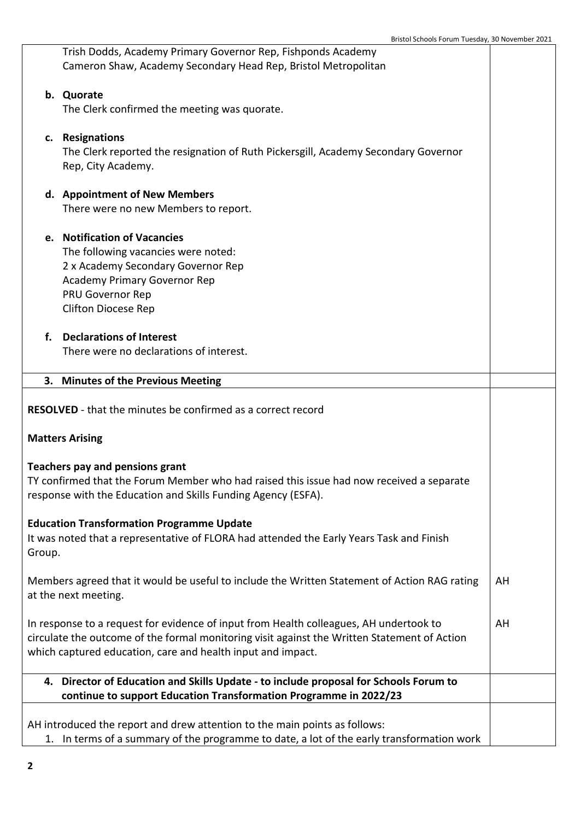|                                                                                                                                                                                                                                                       | Trish Dodds, Academy Primary Governor Rep, Fishponds Academy<br>Cameron Shaw, Academy Secondary Head Rep, Bristol Metropolitan                                                                            |    |
|-------------------------------------------------------------------------------------------------------------------------------------------------------------------------------------------------------------------------------------------------------|-----------------------------------------------------------------------------------------------------------------------------------------------------------------------------------------------------------|----|
|                                                                                                                                                                                                                                                       | b. Quorate                                                                                                                                                                                                |    |
|                                                                                                                                                                                                                                                       | The Clerk confirmed the meeting was quorate.                                                                                                                                                              |    |
|                                                                                                                                                                                                                                                       | c. Resignations<br>The Clerk reported the resignation of Ruth Pickersgill, Academy Secondary Governor<br>Rep, City Academy.                                                                               |    |
|                                                                                                                                                                                                                                                       | d. Appointment of New Members<br>There were no new Members to report.                                                                                                                                     |    |
|                                                                                                                                                                                                                                                       | e. Notification of Vacancies<br>The following vacancies were noted:<br>2 x Academy Secondary Governor Rep<br><b>Academy Primary Governor Rep</b><br><b>PRU Governor Rep</b><br><b>Clifton Diocese Rep</b> |    |
| f.                                                                                                                                                                                                                                                    | <b>Declarations of Interest</b><br>There were no declarations of interest.                                                                                                                                |    |
|                                                                                                                                                                                                                                                       | 3. Minutes of the Previous Meeting                                                                                                                                                                        |    |
|                                                                                                                                                                                                                                                       | <b>RESOLVED</b> - that the minutes be confirmed as a correct record                                                                                                                                       |    |
|                                                                                                                                                                                                                                                       | <b>Matters Arising</b>                                                                                                                                                                                    |    |
|                                                                                                                                                                                                                                                       | Teachers pay and pensions grant<br>TY confirmed that the Forum Member who had raised this issue had now received a separate<br>response with the Education and Skills Funding Agency (ESFA).              |    |
| Group.                                                                                                                                                                                                                                                | <b>Education Transformation Programme Update</b><br>It was noted that a representative of FLORA had attended the Early Years Task and Finish                                                              |    |
| Members agreed that it would be useful to include the Written Statement of Action RAG rating<br>at the next meeting.                                                                                                                                  |                                                                                                                                                                                                           | AH |
| In response to a request for evidence of input from Health colleagues, AH undertook to<br>circulate the outcome of the formal monitoring visit against the Written Statement of Action<br>which captured education, care and health input and impact. |                                                                                                                                                                                                           |    |
|                                                                                                                                                                                                                                                       | 4. Director of Education and Skills Update - to include proposal for Schools Forum to<br>continue to support Education Transformation Programme in 2022/23                                                |    |
|                                                                                                                                                                                                                                                       | AH introduced the report and drew attention to the main points as follows:<br>1. In terms of a summary of the programme to date, a lot of the early transformation work                                   |    |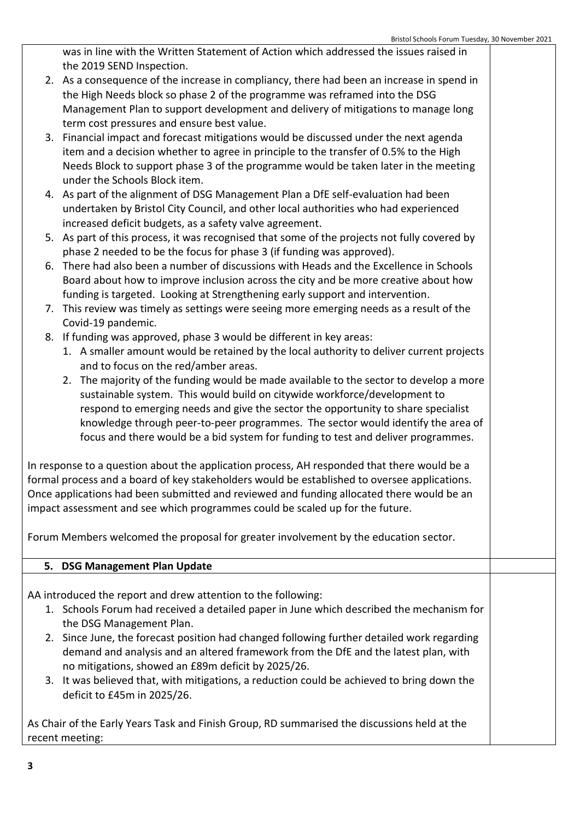was in line with the Written Statement of Action which addressed the issues raised in the 2019 SEND Inspection.

- 2. As a consequence of the increase in compliancy, there had been an increase in spend in the High Needs block so phase 2 of the programme was reframed into the DSG Management Plan to support development and delivery of mitigations to manage long term cost pressures and ensure best value.
- 3. Financial impact and forecast mitigations would be discussed under the next agenda item and a decision whether to agree in principle to the transfer of 0.5% to the High Needs Block to support phase 3 of the programme would be taken later in the meeting under the Schools Block item.
- 4. As part of the alignment of DSG Management Plan a DfE self-evaluation had been undertaken by Bristol City Council, and other local authorities who had experienced increased deficit budgets, as a safety valve agreement.
- 5. As part of this process, it was recognised that some of the projects not fully covered by phase 2 needed to be the focus for phase 3 (if funding was approved).
- 6. There had also been a number of discussions with Heads and the Excellence in Schools Board about how to improve inclusion across the city and be more creative about how funding is targeted. Looking at Strengthening early support and intervention.
- 7. This review was timely as settings were seeing more emerging needs as a result of the Covid-19 pandemic.
- 8. If funding was approved, phase 3 would be different in key areas:
	- 1. A smaller amount would be retained by the local authority to deliver current projects and to focus on the red/amber areas.
	- 2. The majority of the funding would be made available to the sector to develop a more sustainable system. This would build on citywide workforce/development to respond to emerging needs and give the sector the opportunity to share specialist knowledge through peer-to-peer programmes. The sector would identify the area of focus and there would be a bid system for funding to test and deliver programmes.

In response to a question about the application process, AH responded that there would be a formal process and a board of key stakeholders would be established to oversee applications. Once applications had been submitted and reviewed and funding allocated there would be an impact assessment and see which programmes could be scaled up for the future.

Forum Members welcomed the proposal for greater involvement by the education sector.

# **5. DSG Management Plan Update**

AA introduced the report and drew attention to the following:

- 1. Schools Forum had received a detailed paper in June which described the mechanism for the DSG Management Plan.
- 2. Since June, the forecast position had changed following further detailed work regarding demand and analysis and an altered framework from the DfE and the latest plan, with no mitigations, showed an £89m deficit by 2025/26.
- 3. It was believed that, with mitigations, a reduction could be achieved to bring down the deficit to £45m in 2025/26.

As Chair of the Early Years Task and Finish Group, RD summarised the discussions held at the recent meeting: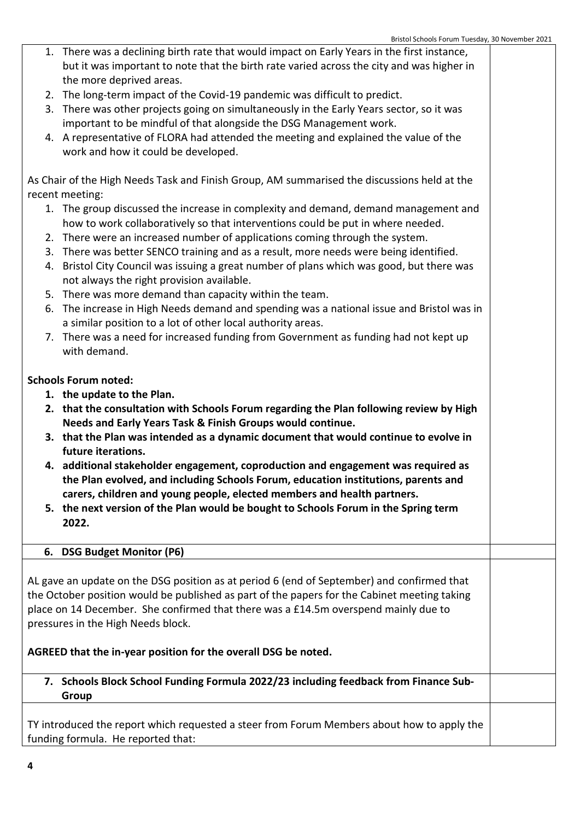- 1. There was a declining birth rate that would impact on Early Years in the first instance, but it was important to note that the birth rate varied across the city and was higher in the more deprived areas.
- 2. The long-term impact of the Covid-19 pandemic was difficult to predict.
- 3. There was other projects going on simultaneously in the Early Years sector, so it was important to be mindful of that alongside the DSG Management work.
- 4. A representative of FLORA had attended the meeting and explained the value of the work and how it could be developed.

As Chair of the High Needs Task and Finish Group, AM summarised the discussions held at the recent meeting:

- 1. The group discussed the increase in complexity and demand, demand management and how to work collaboratively so that interventions could be put in where needed.
- 2. There were an increased number of applications coming through the system.
- 3. There was better SENCO training and as a result, more needs were being identified.
- 4. Bristol City Council was issuing a great number of plans which was good, but there was not always the right provision available.
- 5. There was more demand than capacity within the team.
- 6. The increase in High Needs demand and spending was a national issue and Bristol was in a similar position to a lot of other local authority areas.
- 7. There was a need for increased funding from Government as funding had not kept up with demand.

## **Schools Forum noted:**

- **1. the update to the Plan.**
- **2. that the consultation with Schools Forum regarding the Plan following review by High Needs and Early Years Task & Finish Groups would continue.**
- **3. that the Plan was intended as a dynamic document that would continue to evolve in future iterations.**
- **4. additional stakeholder engagement, coproduction and engagement was required as the Plan evolved, and including Schools Forum, education institutions, parents and carers, children and young people, elected members and health partners.**
- **5. the next version of the Plan would be bought to Schools Forum in the Spring term 2022.**

# **6. DSG Budget Monitor (P6)**

AL gave an update on the DSG position as at period 6 (end of September) and confirmed that the October position would be published as part of the papers for the Cabinet meeting taking place on 14 December. She confirmed that there was a £14.5m overspend mainly due to pressures in the High Needs block.

# **AGREED that the in-year position for the overall DSG be noted.**

## **7. Schools Block School Funding Formula 2022/23 including feedback from Finance Sub-Group**

TY introduced the report which requested a steer from Forum Members about how to apply the funding formula. He reported that: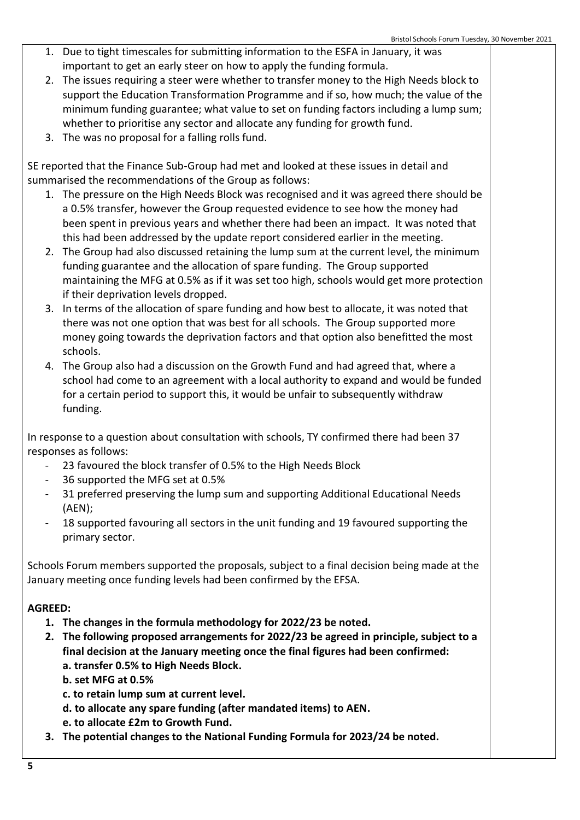- 1. Due to tight timescales for submitting information to the ESFA in January, it was important to get an early steer on how to apply the funding formula.
- 2. The issues requiring a steer were whether to transfer money to the High Needs block to support the Education Transformation Programme and if so, how much; the value of the minimum funding guarantee; what value to set on funding factors including a lump sum; whether to prioritise any sector and allocate any funding for growth fund.
- 3. The was no proposal for a falling rolls fund.

SE reported that the Finance Sub-Group had met and looked at these issues in detail and summarised the recommendations of the Group as follows:

- 1. The pressure on the High Needs Block was recognised and it was agreed there should be a 0.5% transfer, however the Group requested evidence to see how the money had been spent in previous years and whether there had been an impact. It was noted that this had been addressed by the update report considered earlier in the meeting.
- 2. The Group had also discussed retaining the lump sum at the current level, the minimum funding guarantee and the allocation of spare funding. The Group supported maintaining the MFG at 0.5% as if it was set too high, schools would get more protection if their deprivation levels dropped.
- 3. In terms of the allocation of spare funding and how best to allocate, it was noted that there was not one option that was best for all schools. The Group supported more money going towards the deprivation factors and that option also benefitted the most schools.
- 4. The Group also had a discussion on the Growth Fund and had agreed that, where a school had come to an agreement with a local authority to expand and would be funded for a certain period to support this, it would be unfair to subsequently withdraw funding.

In response to a question about consultation with schools, TY confirmed there had been 37 responses as follows:

- 23 favoured the block transfer of 0.5% to the High Needs Block
- 36 supported the MFG set at 0.5%
- 31 preferred preserving the lump sum and supporting Additional Educational Needs (AEN);
- 18 supported favouring all sectors in the unit funding and 19 favoured supporting the primary sector.

Schools Forum members supported the proposals, subject to a final decision being made at the January meeting once funding levels had been confirmed by the EFSA.

# **AGREED:**

- **1. The changes in the formula methodology for 2022/23 be noted.**
- **2. The following proposed arrangements for 2022/23 be agreed in principle, subject to a final decision at the January meeting once the final figures had been confirmed: a. transfer 0.5% to High Needs Block.**
	- **b. set MFG at 0.5%**
	- **c. to retain lump sum at current level.**
	- **d. to allocate any spare funding (after mandated items) to AEN.**
	- **e. to allocate £2m to Growth Fund.**
- **3. The potential changes to the National Funding Formula for 2023/24 be noted.**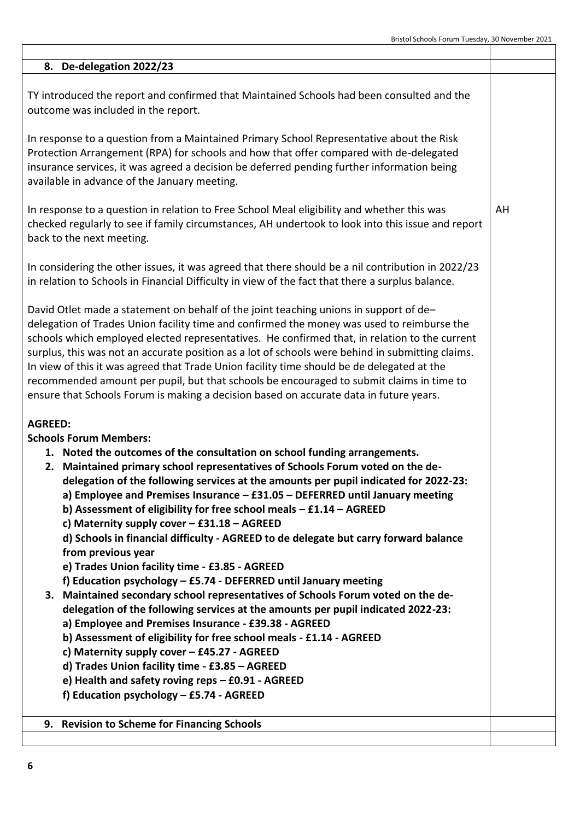AH

#### **8. De-delegation 2022/23**

TY introduced the report and confirmed that Maintained Schools had been consulted and the outcome was included in the report.

In response to a question from a Maintained Primary School Representative about the Risk Protection Arrangement (RPA) for schools and how that offer compared with de-delegated insurance services, it was agreed a decision be deferred pending further information being available in advance of the January meeting.

In response to a question in relation to Free School Meal eligibility and whether this was checked regularly to see if family circumstances, AH undertook to look into this issue and report back to the next meeting.

In considering the other issues, it was agreed that there should be a nil contribution in 2022/23 in relation to Schools in Financial Difficulty in view of the fact that there a surplus balance.

David Otlet made a statement on behalf of the joint teaching unions in support of de– delegation of Trades Union facility time and confirmed the money was used to reimburse the schools which employed elected representatives. He confirmed that, in relation to the current surplus, this was not an accurate position as a lot of schools were behind in submitting claims. In view of this it was agreed that Trade Union facility time should be de delegated at the recommended amount per pupil, but that schools be encouraged to submit claims in time to ensure that Schools Forum is making a decision based on accurate data in future years.

#### **AGREED:**

#### **Schools Forum Members:**

- **1. Noted the outcomes of the consultation on school funding arrangements.**
- **2. Maintained primary school representatives of Schools Forum voted on the dedelegation of the following services at the amounts per pupil indicated for 2022-23:**
	- **a) Employee and Premises Insurance – £31.05 – DEFERRED until January meeting**
	- **b) Assessment of eligibility for free school meals – £1.14 – AGREED**
	- **c) Maternity supply cover – £31.18 – AGREED**

**d) Schools in financial difficulty - AGREED to de delegate but carry forward balance from previous year** 

- **e) Trades Union facility time - £3.85 - AGREED**
- **f) Education psychology – £5.74 - DEFERRED until January meeting**
- **3. Maintained secondary school representatives of Schools Forum voted on the de-**

**delegation of the following services at the amounts per pupil indicated 2022-23:**

- **a) Employee and Premises Insurance - £39.38 - AGREED**
- **b) Assessment of eligibility for free school meals - £1.14 - AGREED**
- **c) Maternity supply cover – £45.27 - AGREED**
- **d) Trades Union facility time - £3.85 – AGREED**
- **e) Health and safety roving reps – £0.91 - AGREED**
- **f) Education psychology – £5.74 - AGREED**
- **9. Revision to Scheme for Financing Schools**